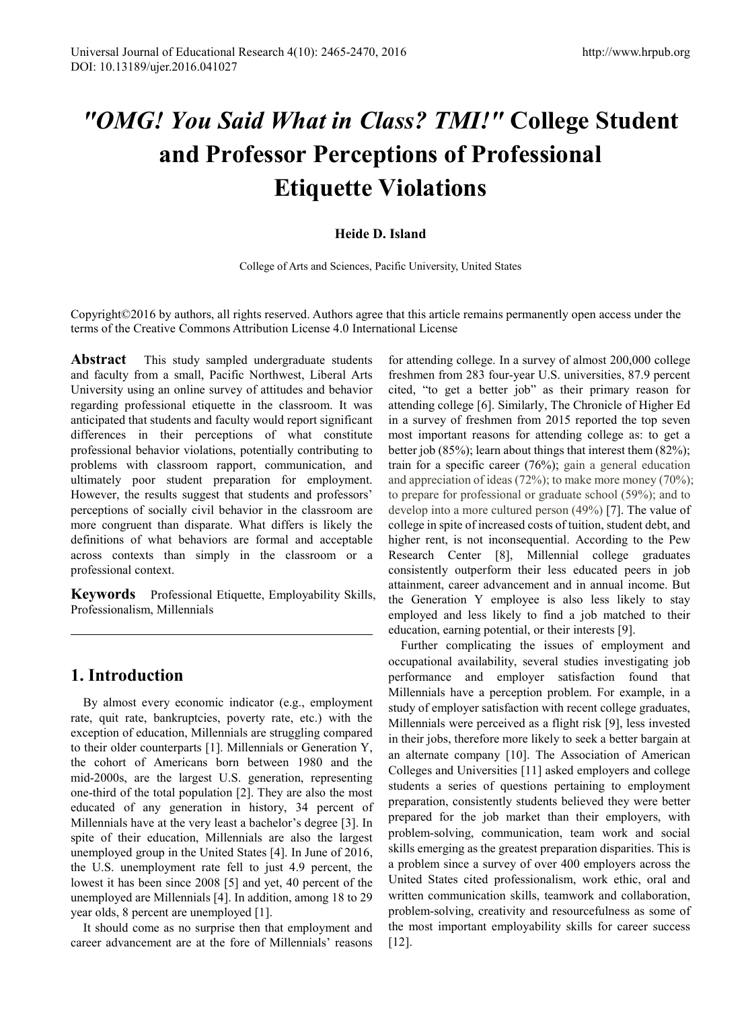# *"OMG! You Said What in Class? TMI!"* **College Student and Professor Perceptions of Professional Etiquette Violations**

### **Heide D. Island**

College of Arts and Sciences, Pacific University, United States

Copyright©2016 by authors, all rights reserved. Authors agree that this article remains permanently open access under the terms of the Creative Commons Attribution License 4.0 International License

**Abstract** This study sampled undergraduate students and faculty from a small, Pacific Northwest, Liberal Arts University using an online survey of attitudes and behavior regarding professional etiquette in the classroom. It was anticipated that students and faculty would report significant differences in their perceptions of what constitute professional behavior violations, potentially contributing to problems with classroom rapport, communication, and ultimately poor student preparation for employment. However, the results suggest that students and professors' perceptions of socially civil behavior in the classroom are more congruent than disparate. What differs is likely the definitions of what behaviors are formal and acceptable across contexts than simply in the classroom or a professional context.

**Keywords** Professional Etiquette, Employability Skills, Professionalism, Millennials

# **1. Introduction**

By almost every economic indicator (e.g., employment rate, quit rate, bankruptcies, poverty rate, etc.) with the exception of education, Millennials are struggling compared to their older counterparts [1]. Millennials or Generation Y, the cohort of Americans born between 1980 and the mid-2000s, are the largest U.S. generation, representing one-third of the total population [2]. They are also the most educated of any generation in history, 34 percent of Millennials have at the very least a bachelor's degree [3]. In spite of their education, Millennials are also the largest unemployed group in the United States [4]. In June of 2016, the U.S. unemployment rate fell to just 4.9 percent, the lowest it has been since 2008 [5] and yet, 40 percent of the unemployed are Millennials [4]. In addition, among 18 to 29 year olds, 8 percent are unemployed [1].

It should come as no surprise then that employment and career advancement are at the fore of Millennials' reasons

for attending college. In a survey of almost 200,000 college freshmen from 283 four-year U.S. universities, 87.9 percent cited, "to get a better job" as their primary reason for attending college [6]. Similarly, The Chronicle of Higher Ed in a survey of freshmen from 2015 reported the top seven most important reasons for attending college as: to get a better job (85%); learn about things that interest them (82%); train for a specific career (76%); gain a general education and appreciation of ideas (72%); to make more money (70%); to prepare for professional or graduate school (59%); and to develop into a more cultured person (49%) [7]. The value of college in spite of increased costs of tuition, student debt, and higher rent, is not inconsequential. According to the Pew Research Center [8], Millennial college graduates consistently outperform their less educated peers in job attainment, career advancement and in annual income. But the Generation Y employee is also less likely to stay employed and less likely to find a job matched to their education, earning potential, or their interests [9].

Further complicating the issues of employment and occupational availability, several studies investigating job performance and employer satisfaction found that Millennials have a perception problem. For example, in a study of employer satisfaction with recent college graduates, Millennials were perceived as a flight risk [9], less invested in their jobs, therefore more likely to seek a better bargain at an alternate company [10]. The Association of American Colleges and Universities [11] asked employers and college students a series of questions pertaining to employment preparation, consistently students believed they were better prepared for the job market than their employers, with problem-solving, communication, team work and social skills emerging as the greatest preparation disparities. This is a problem since a survey of over 400 employers across the United States cited professionalism, work ethic, oral and written communication skills, teamwork and collaboration, problem-solving, creativity and resourcefulness as some of the most important employability skills for career success [12].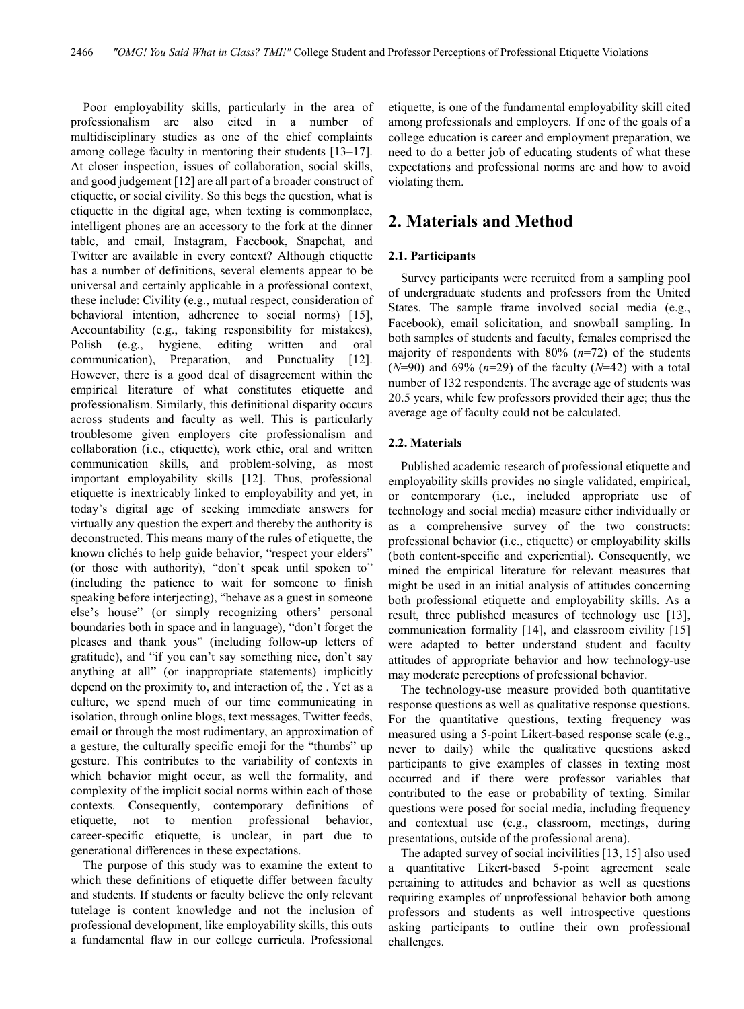Poor employability skills, particularly in the area of professionalism are also cited in a number of multidisciplinary studies as one of the chief complaints among college faculty in mentoring their students [13–17]. At closer inspection, issues of collaboration, social skills, and good judgement [12] are all part of a broader construct of etiquette, or social civility. So this begs the question, what is etiquette in the digital age, when texting is commonplace, intelligent phones are an accessory to the fork at the dinner table, and email, Instagram, Facebook, Snapchat, and Twitter are available in every context? Although etiquette has a number of definitions, several elements appear to be universal and certainly applicable in a professional context, these include: Civility (e.g., mutual respect, consideration of behavioral intention, adherence to social norms) [15], Accountability (e.g., taking responsibility for mistakes), Polish (e.g., hygiene, editing written and oral communication), Preparation, and Punctuality [12]. However, there is a good deal of disagreement within the empirical literature of what constitutes etiquette and professionalism. Similarly, this definitional disparity occurs across students and faculty as well. This is particularly troublesome given employers cite professionalism and collaboration (i.e., etiquette), work ethic, oral and written communication skills, and problem-solving, as most important employability skills [12]. Thus, professional etiquette is inextricably linked to employability and yet, in today's digital age of seeking immediate answers for virtually any question the expert and thereby the authority is deconstructed. This means many of the rules of etiquette, the known clichés to help guide behavior, "respect your elders" (or those with authority), "don't speak until spoken to" (including the patience to wait for someone to finish speaking before interjecting), "behave as a guest in someone else's house" (or simply recognizing others' personal boundaries both in space and in language), "don't forget the pleases and thank yous" (including follow-up letters of gratitude), and "if you can't say something nice, don't say anything at all" (or inappropriate statements) implicitly depend on the proximity to, and interaction of, the . Yet as a culture, we spend much of our time communicating in isolation, through online blogs, text messages, Twitter feeds, email or through the most rudimentary, an approximation of a gesture, the culturally specific emoji for the "thumbs" up gesture. This contributes to the variability of contexts in which behavior might occur, as well the formality, and complexity of the implicit social norms within each of those contexts. Consequently, contemporary definitions of etiquette, not to mention professional behavior, career-specific etiquette, is unclear, in part due to generational differences in these expectations.

The purpose of this study was to examine the extent to which these definitions of etiquette differ between faculty and students. If students or faculty believe the only relevant tutelage is content knowledge and not the inclusion of professional development, like employability skills, this outs a fundamental flaw in our college curricula. Professional

etiquette, is one of the fundamental employability skill cited among professionals and employers. If one of the goals of a college education is career and employment preparation, we need to do a better job of educating students of what these expectations and professional norms are and how to avoid violating them.

## **2. Materials and Method**

#### **2.1. Participants**

Survey participants were recruited from a sampling pool of undergraduate students and professors from the United States. The sample frame involved social media (e.g., Facebook), email solicitation, and snowball sampling. In both samples of students and faculty, females comprised the majority of respondents with 80% (*n*=72) of the students (*N*=90) and 69% (*n*=29) of the faculty (*N*=42) with a total number of 132 respondents. The average age of students was 20.5 years, while few professors provided their age; thus the average age of faculty could not be calculated.

#### **2.2. Materials**

Published academic research of professional etiquette and employability skills provides no single validated, empirical, or contemporary (i.e., included appropriate use of technology and social media) measure either individually or as a comprehensive survey of the two constructs: professional behavior (i.e., etiquette) or employability skills (both content-specific and experiential). Consequently, we mined the empirical literature for relevant measures that might be used in an initial analysis of attitudes concerning both professional etiquette and employability skills. As a result, three published measures of technology use [13], communication formality [14], and classroom civility [15] were adapted to better understand student and faculty attitudes of appropriate behavior and how technology-use may moderate perceptions of professional behavior.

The technology-use measure provided both quantitative response questions as well as qualitative response questions. For the quantitative questions, texting frequency was measured using a 5-point Likert-based response scale (e.g., never to daily) while the qualitative questions asked participants to give examples of classes in texting most occurred and if there were professor variables that contributed to the ease or probability of texting. Similar questions were posed for social media, including frequency and contextual use (e.g., classroom, meetings, during presentations, outside of the professional arena).

The adapted survey of social incivilities [13, 15] also used a quantitative Likert-based 5-point agreement scale pertaining to attitudes and behavior as well as questions requiring examples of unprofessional behavior both among professors and students as well introspective questions asking participants to outline their own professional challenges.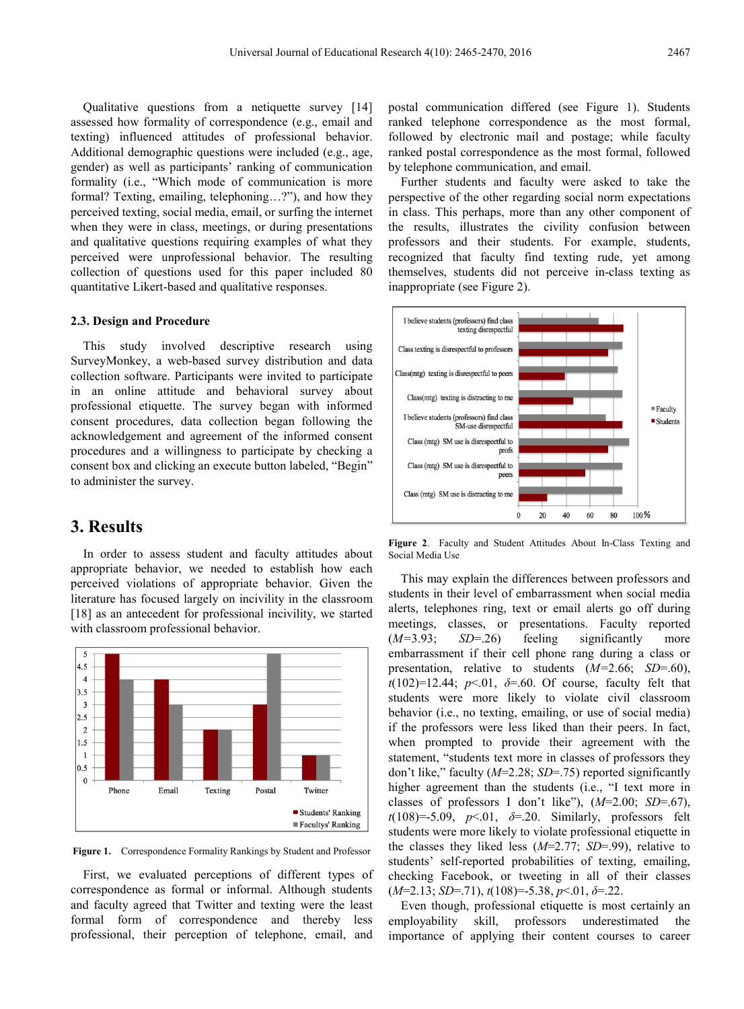Qualitative questions from a netiquette survey [14] assessed how formality of correspondence (e.g., email and texting) influenced attitudes of professional behavior. Additional demographic questions were included (e.g., age, gender) as well as participants' ranking of communication formality (i.e., "Which mode of communication is more formal? Texting, emailing, telephoning…?"), and how they perceived texting, social media, email, or surfing the internet when they were in class, meetings, or during presentations and qualitative questions requiring examples of what they perceived were unprofessional behavior. The resulting collection of questions used for this paper included 80 quantitative Likert-based and qualitative responses.

#### **2.3. Design and Procedure**

This study involved descriptive research using SurveyMonkey, a web-based survey distribution and data collection software. Participants were invited to participate in an online attitude and behavioral survey about professional etiquette. The survey began with informed consent procedures, data collection began following the acknowledgement and agreement of the informed consent procedures and a willingness to participate by checking a consent box and clicking an execute button labeled, "Begin" to administer the survey.

## **3. Results**

In order to assess student and faculty attitudes about appropriate behavior, we needed to establish how each perceived violations of appropriate behavior. Given the literature has focused largely on incivility in the classroom [18] as an antecedent for professional incivility, we started with classroom professional behavior.



**Figure 1.** Correspondence Formality Rankings by Student and Professor

First, we evaluated perceptions of different types of correspondence as formal or informal. Although students and faculty agreed that Twitter and texting were the least formal form of correspondence and thereby less professional, their perception of telephone, email, and

postal communication differed (see Figure 1). Students ranked telephone correspondence as the most formal, followed by electronic mail and postage; while faculty ranked postal correspondence as the most formal, followed by telephone communication, and email.

Further students and faculty were asked to take the perspective of the other regarding social norm expectations in class. This perhaps, more than any other component of the results, illustrates the civility confusion between professors and their students. For example, students, recognized that faculty find texting rude, yet among themselves, students did not perceive in-class texting as inappropriate (see Figure 2).



**Figure 2**. Faculty and Student Attitudes About In-Class Texting and Social Media Use

This may explain the differences between professors and students in their level of embarrassment when social media alerts, telephones ring, text or email alerts go off during meetings, classes, or presentations. Faculty reported (*M=*3.93; *SD*=.26) feeling significantly more embarrassment if their cell phone rang during a class or presentation, relative to students (*M=*2.66; *SD*=.60),  $t(102)=12.44$ ;  $p<.01$ ,  $\delta=0.60$ . Of course, faculty felt that students were more likely to violate civil classroom behavior (i.e., no texting, emailing, or use of social media) if the professors were less liked than their peers. In fact, when prompted to provide their agreement with the statement, "students text more in classes of professors they don't like," faculty (*M*=2.28; *SD*=.75) reported significantly higher agreement than the students (i.e., "I text more in classes of professors I don't like"), (*M*=2.00; *SD*=.67), *t*(108)=-5.09, *p*<.01, *δ*=.20. Similarly, professors felt students were more likely to violate professional etiquette in the classes they liked less (*M*=2.77; *SD*=.99), relative to students' self-reported probabilities of texting, emailing, checking Facebook, or tweeting in all of their classes (*M*=2.13; *SD*=.71), *t*(108)=-5.38, *p*<.01, *δ*=.22.

Even though, professional etiquette is most certainly an employability skill, professors underestimated the importance of applying their content courses to career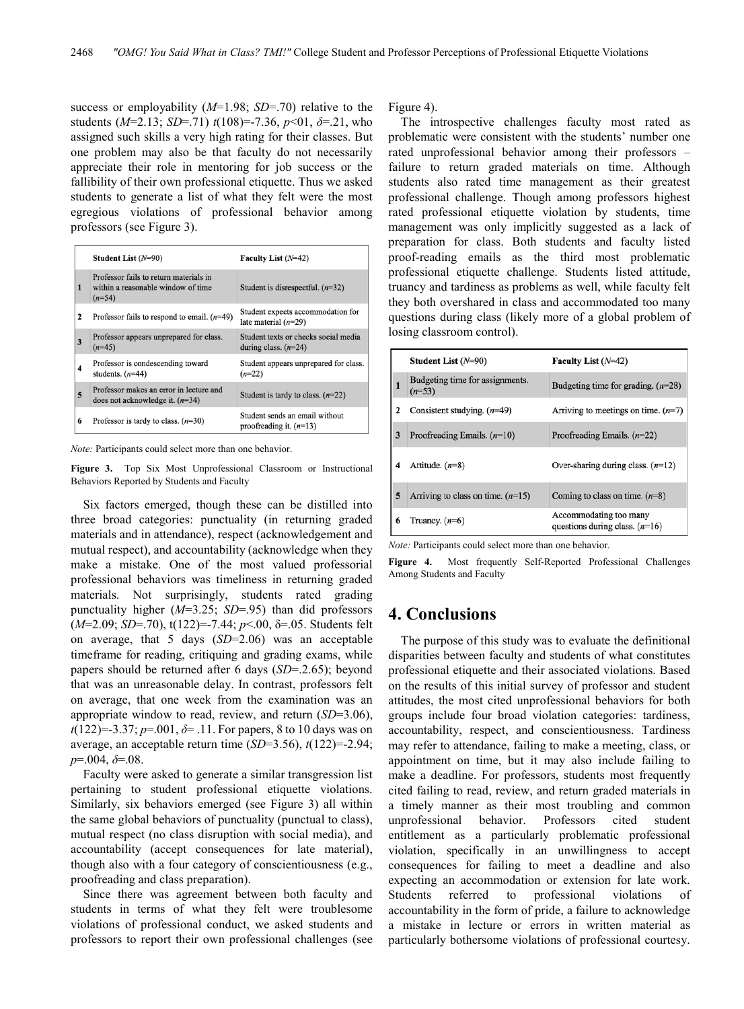success or employability (*M*=1.98; *SD*=.70) relative to the students (*M*=2.13; *SD*=.71) *t*(108)=-7.36, *p*<01, *δ*=.21, who assigned such skills a very high rating for their classes. But one problem may also be that faculty do not necessarily appreciate their role in mentoring for job success or the fallibility of their own professional etiquette. Thus we asked students to generate a list of what they felt were the most egregious violations of professional behavior among professors (see Figure 3).

|   | Student List $(N=90)$                                                                    | Faculty List $(N=42)$                                          |
|---|------------------------------------------------------------------------------------------|----------------------------------------------------------------|
| 1 | Professor fails to return materials in<br>within a reasonable window of time<br>$(n=54)$ | Student is disrespectful. $(n=32)$                             |
| 2 | Professor fails to respond to email. $(n=49)$                                            | Student expects accommodation for<br>late material $(n=29)$    |
| 3 | Professor appears unprepared for class.<br>$(n=45)$                                      | Student texts or checks social media<br>during class. $(n=24)$ |
| 4 | Professor is condescending toward<br>students. $(n=44)$                                  | Student appears unprepared for class.<br>$(n=22)$              |
| 5 | Professor makes an error in lecture and<br>does not acknowledge it. $(n=34)$             | Student is tardy to class. $(n=22)$                            |
| 6 | Professor is tardy to class. $(n=30)$                                                    | Student sends an email without<br>proofreading it. $(n=13)$    |

*Note:* Participants could select more than one behavior.

**Figure 3.** Top Six Most Unprofessional Classroom or Instructional Behaviors Reported by Students and Faculty

Six factors emerged, though these can be distilled into three broad categories: punctuality (in returning graded materials and in attendance), respect (acknowledgement and mutual respect), and accountability (acknowledge when they make a mistake. One of the most valued professorial professional behaviors was timeliness in returning graded materials. Not surprisingly, students rated grading punctuality higher (*M*=3.25; *SD*=.95) than did professors (*M*=2.09; *SD*=.70), t(122)=-7.44; *p*<.00, δ=.05. Students felt on average, that 5 days (*SD*=2.06) was an acceptable timeframe for reading, critiquing and grading exams, while papers should be returned after 6 days (*SD*=.2.65); beyond that was an unreasonable delay. In contrast, professors felt on average, that one week from the examination was an appropriate window to read, review, and return (*SD*=3.06), *t*(122)=-3.37; *p*=.001, *δ*= .11. For papers, 8 to 10 days was on average, an acceptable return time (*SD*=3.56), *t*(122)=-2.94; *p*=.004, *δ*=.08.

Faculty were asked to generate a similar transgression list pertaining to student professional etiquette violations. Similarly, six behaviors emerged (see Figure 3) all within the same global behaviors of punctuality (punctual to class), mutual respect (no class disruption with social media), and accountability (accept consequences for late material), though also with a four category of conscientiousness (e.g., proofreading and class preparation).

Since there was agreement between both faculty and students in terms of what they felt were troublesome violations of professional conduct, we asked students and professors to report their own professional challenges (see Figure 4).

The introspective challenges faculty most rated as problematic were consistent with the students' number one rated unprofessional behavior among their professors – failure to return graded materials on time. Although students also rated time management as their greatest professional challenge. Though among professors highest rated professional etiquette violation by students, time management was only implicitly suggested as a lack of preparation for class. Both students and faculty listed proof-reading emails as the third most problematic professional etiquette challenge. Students listed attitude, truancy and tardiness as problems as well, while faculty felt they both overshared in class and accommodated too many questions during class (likely more of a global problem of losing classroom control).

|   | Student List $(N=90)$                       | Faculty List $(N=42)$                                      |
|---|---------------------------------------------|------------------------------------------------------------|
| 1 | Budgeting time for assignments.<br>$(n=53)$ | Budgeting time for grading. $(n=28)$                       |
|   | Consistent studying. $(n=49)$               | Arriving to meetings on time. $(n=7)$                      |
| 3 | Proofreading Emails. $(n=10)$               | Proofreading Emails. $(n=22)$                              |
|   | Attitude. $(n=8)$                           | Over-sharing during class. $(n=12)$                        |
| 5 | Arriving to class on time. $(n=15)$         | Coming to class on time. $(n=8)$                           |
| 6 | Truancy. $(n=6)$                            | Accommodating too many<br>questions during class. $(n=16)$ |

*Note:* Participants could select more than one behavior.

**Figure 4.** Most frequently Self-Reported Professional Challenges Among Students and Faculty

## **4. Conclusions**

The purpose of this study was to evaluate the definitional disparities between faculty and students of what constitutes professional etiquette and their associated violations. Based on the results of this initial survey of professor and student attitudes, the most cited unprofessional behaviors for both groups include four broad violation categories: tardiness, accountability, respect, and conscientiousness. Tardiness may refer to attendance, failing to make a meeting, class, or appointment on time, but it may also include failing to make a deadline. For professors, students most frequently cited failing to read, review, and return graded materials in a timely manner as their most troubling and common unprofessional behavior. Professors cited student entitlement as a particularly problematic professional violation, specifically in an unwillingness to accept consequences for failing to meet a deadline and also expecting an accommodation or extension for late work. Students referred to professional violations of accountability in the form of pride, a failure to acknowledge a mistake in lecture or errors in written material as particularly bothersome violations of professional courtesy.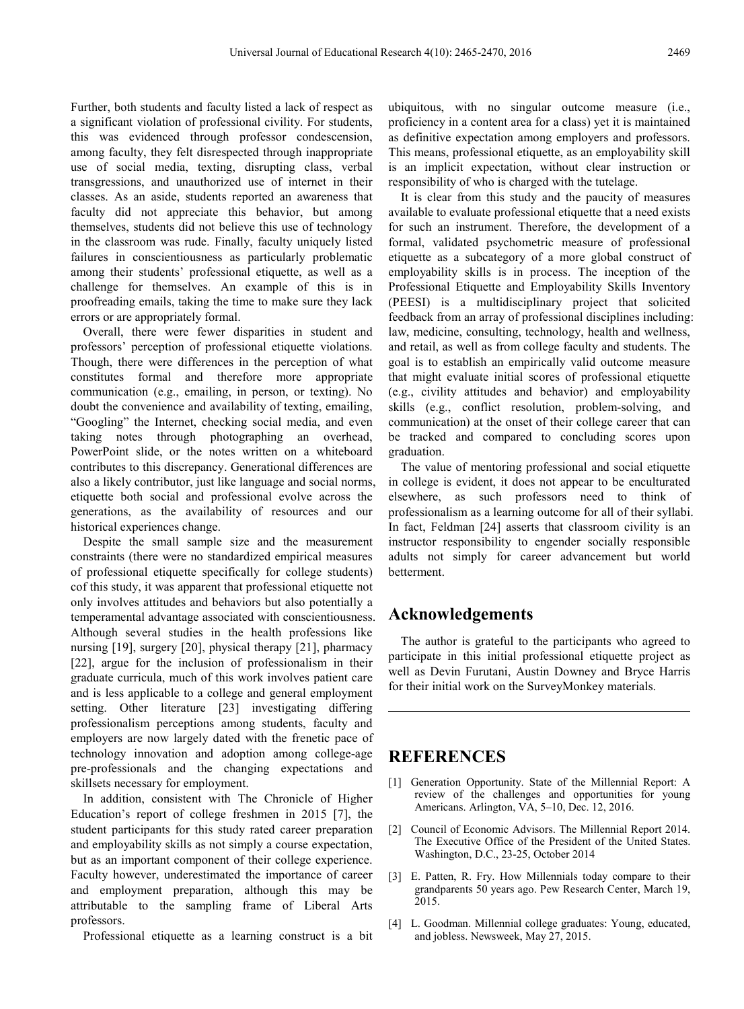Further, both students and faculty listed a lack of respect as a significant violation of professional civility. For students, this was evidenced through professor condescension, among faculty, they felt disrespected through inappropriate use of social media, texting, disrupting class, verbal transgressions, and unauthorized use of internet in their classes. As an aside, students reported an awareness that faculty did not appreciate this behavior, but among themselves, students did not believe this use of technology in the classroom was rude. Finally, faculty uniquely listed failures in conscientiousness as particularly problematic among their students' professional etiquette, as well as a challenge for themselves. An example of this is in proofreading emails, taking the time to make sure they lack errors or are appropriately formal.

Overall, there were fewer disparities in student and professors' perception of professional etiquette violations. Though, there were differences in the perception of what constitutes formal and therefore more appropriate communication (e.g., emailing, in person, or texting). No doubt the convenience and availability of texting, emailing, "Googling" the Internet, checking social media, and even taking notes through photographing an overhead, PowerPoint slide, or the notes written on a whiteboard contributes to this discrepancy. Generational differences are also a likely contributor, just like language and social norms, etiquette both social and professional evolve across the generations, as the availability of resources and our historical experiences change.

Despite the small sample size and the measurement constraints (there were no standardized empirical measures of professional etiquette specifically for college students) cof this study, it was apparent that professional etiquette not only involves attitudes and behaviors but also potentially a temperamental advantage associated with conscientiousness. Although several studies in the health professions like nursing [19], surgery [20], physical therapy [21], pharmacy [22], argue for the inclusion of professionalism in their graduate curricula, much of this work involves patient care and is less applicable to a college and general employment setting. Other literature [23] investigating differing professionalism perceptions among students, faculty and employers are now largely dated with the frenetic pace of technology innovation and adoption among college-age pre-professionals and the changing expectations and skillsets necessary for employment.

In addition, consistent with The Chronicle of Higher Education's report of college freshmen in 2015 [7], the student participants for this study rated career preparation and employability skills as not simply a course expectation, but as an important component of their college experience. Faculty however, underestimated the importance of career and employment preparation, although this may be attributable to the sampling frame of Liberal Arts professors.

Professional etiquette as a learning construct is a bit

ubiquitous, with no singular outcome measure (i.e., proficiency in a content area for a class) yet it is maintained as definitive expectation among employers and professors. This means, professional etiquette, as an employability skill is an implicit expectation, without clear instruction or responsibility of who is charged with the tutelage.

It is clear from this study and the paucity of measures available to evaluate professional etiquette that a need exists for such an instrument. Therefore, the development of a formal, validated psychometric measure of professional etiquette as a subcategory of a more global construct of employability skills is in process. The inception of the Professional Etiquette and Employability Skills Inventory (PEESI) is a multidisciplinary project that solicited feedback from an array of professional disciplines including: law, medicine, consulting, technology, health and wellness, and retail, as well as from college faculty and students. The goal is to establish an empirically valid outcome measure that might evaluate initial scores of professional etiquette (e.g., civility attitudes and behavior) and employability skills (e.g., conflict resolution, problem-solving, and communication) at the onset of their college career that can be tracked and compared to concluding scores upon graduation.

The value of mentoring professional and social etiquette in college is evident, it does not appear to be enculturated elsewhere, as such professors need to think of professionalism as a learning outcome for all of their syllabi. In fact, Feldman [24] asserts that classroom civility is an instructor responsibility to engender socially responsible adults not simply for career advancement but world betterment.

# **Acknowledgements**

The author is grateful to the participants who agreed to participate in this initial professional etiquette project as well as Devin Furutani, Austin Downey and Bryce Harris for their initial work on the SurveyMonkey materials.

## **REFERENCES**

- [1] Generation Opportunity. State of the Millennial Report: A review of the challenges and opportunities for young Americans. Arlington, VA, 5–10, Dec. 12, 2016.
- [2] Council of Economic Advisors. The Millennial Report 2014. The Executive Office of the President of the United States. Washington, D.C., 23-25, October 2014
- [3] E. Patten, R. Fry. How Millennials today compare to their grandparents 50 years ago. Pew Research Center, March 19, 2015.
- [4] L. Goodman. Millennial college graduates: Young, educated, and jobless. Newsweek, May 27, 2015.